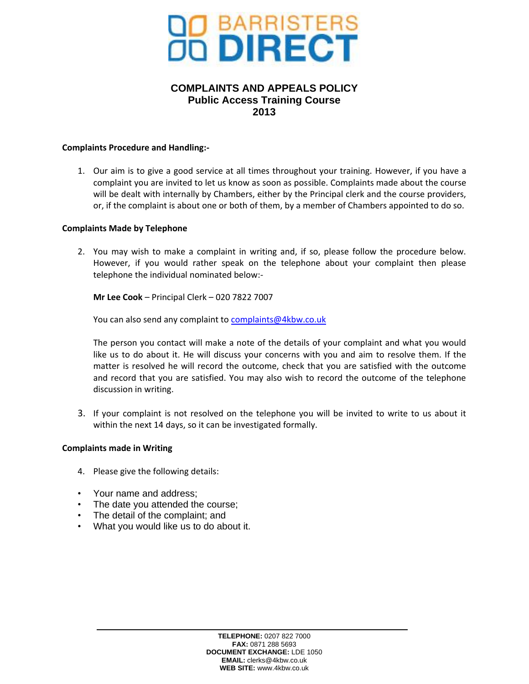

# **COMPLAINTS AND APPEALS POLICY Public Access Training Course 2013**

### **Complaints Procedure and Handling:-**

1. Our aim is to give a good service at all times throughout your training. However, if you have a complaint you are invited to let us know as soon as possible. Complaints made about the course will be dealt with internally by Chambers, either by the Principal clerk and the course providers, or, if the complaint is about one or both of them, by a member of Chambers appointed to do so.

### **Complaints Made by Telephone**

2. You may wish to make a complaint in writing and, if so, please follow the procedure below. However, if you would rather speak on the telephone about your complaint then please telephone the individual nominated below:-

**Mr Lee Cook** – Principal Clerk – 020 7822 7007

You can also send any complaint to [complaints@4kbw.co.uk](mailto:complaints@4kbw.co.uk)

The person you contact will make a note of the details of your complaint and what you would like us to do about it. He will discuss your concerns with you and aim to resolve them. If the matter is resolved he will record the outcome, check that you are satisfied with the outcome and record that you are satisfied. You may also wish to record the outcome of the telephone discussion in writing.

3. If your complaint is not resolved on the telephone you will be invited to write to us about it within the next 14 days, so it can be investigated formally.

#### **Complaints made in Writing**

- 4. Please give the following details:
- Your name and address;
- The date you attended the course;
- The detail of the complaint; and
- What you would like us to do about it.